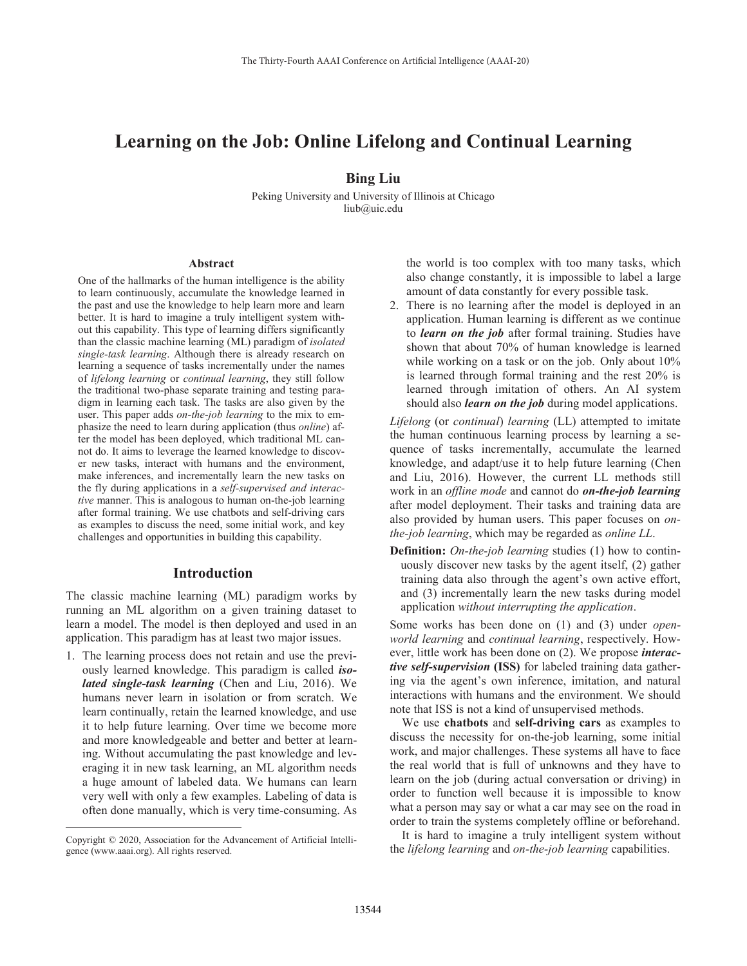# **Learning on the Job: Online Lifelong and Continual Learning**

# **Bing Liu**

Peking University and University of Illinois at Chicago liub@uic.edu

#### **Abstract**

One of the hallmarks of the human intelligence is the ability to learn continuously, accumulate the knowledge learned in the past and use the knowledge to help learn more and learn better. It is hard to imagine a truly intelligent system without this capability. This type of learning differs significantly than the classic machine learning (ML) paradigm of *isolated single-task learning*. Although there is already research on learning a sequence of tasks incrementally under the names of *lifelong learning* or *continual learning*, they still follow the traditional two-phase separate training and testing paradigm in learning each task. The tasks are also given by the user. This paper adds *on-the-job learning* to the mix to emphasize the need to learn during application (thus *online*) after the model has been deployed, which traditional ML cannot do. It aims to leverage the learned knowledge to discover new tasks, interact with humans and the environment, make inferences, and incrementally learn the new tasks on the fly during applications in a *self-supervised and interactive* manner. This is analogous to human on-the-job learning after formal training. We use chatbots and self-driving cars as examples to discuss the need, some initial work, and key challenges and opportunities in building this capability.

#### **Introduction**

The classic machine learning (ML) paradigm works by running an ML algorithm on a given training dataset to learn a model. The model is then deployed and used in an application. This paradigm has at least two major issues.

1. The learning process does not retain and use the previously learned knowledge. This paradigm is called *isolated single-task learning* (Chen and Liu, 2016). We humans never learn in isolation or from scratch. We learn continually, retain the learned knowledge, and use it to help future learning. Over time we become more and more knowledgeable and better and better at learning. Without accumulating the past knowledge and leveraging it in new task learning, an ML algorithm needs a huge amount of labeled data. We humans can learn very well with only a few examples. Labeling of data is often done manually, which is very time-consuming. As

 $\overline{a}$ 

the world is too complex with too many tasks, which also change constantly, it is impossible to label a large amount of data constantly for every possible task.

2. There is no learning after the model is deployed in an application. Human learning is different as we continue to *learn on the job* after formal training. Studies have shown that about 70% of human knowledge is learned while working on a task or on the job. Only about  $10\%$ is learned through formal training and the rest 20% is learned through imitation of others. An AI system should also *learn on the job* during model applications.

*Lifelong* (or *continual*) *learning* (LL) attempted to imitate the human continuous learning process by learning a sequence of tasks incrementally, accumulate the learned knowledge, and adapt/use it to help future learning (Chen and Liu, 2016). However, the current LL methods still work in an *offline mode* and cannot do *on-the-job learning* after model deployment. Their tasks and training data are also provided by human users. This paper focuses on *onthe-job learning*, which may be regarded as *online LL*.

**Definition:** *On-the-job learning* studies (1) how to continuously discover new tasks by the agent itself, (2) gather training data also through the agent's own active effort, and (3) incrementally learn the new tasks during model application *without interrupting the application*.

Some works has been done on (1) and (3) under *openworld learning* and *continual learning*, respectively. However, little work has been done on (2). We propose *interactive self-supervision* **(ISS)** for labeled training data gathering via the agent's own inference, imitation, and natural interactions with humans and the environment. We should note that ISS is not a kind of unsupervised methods.

 We use **chatbots** and **self-driving cars** as examples to discuss the necessity for on-the-job learning, some initial work, and major challenges. These systems all have to face the real world that is full of unknowns and they have to learn on the job (during actual conversation or driving) in order to function well because it is impossible to know what a person may say or what a car may see on the road in order to train the systems completely offline or beforehand.

 It is hard to imagine a truly intelligent system without the *lifelong learning* and *on-the-job learning* capabilities.

Copyright © 2020, Association for the Advancement of Artificial Intelligence (www.aaai.org). All rights reserved.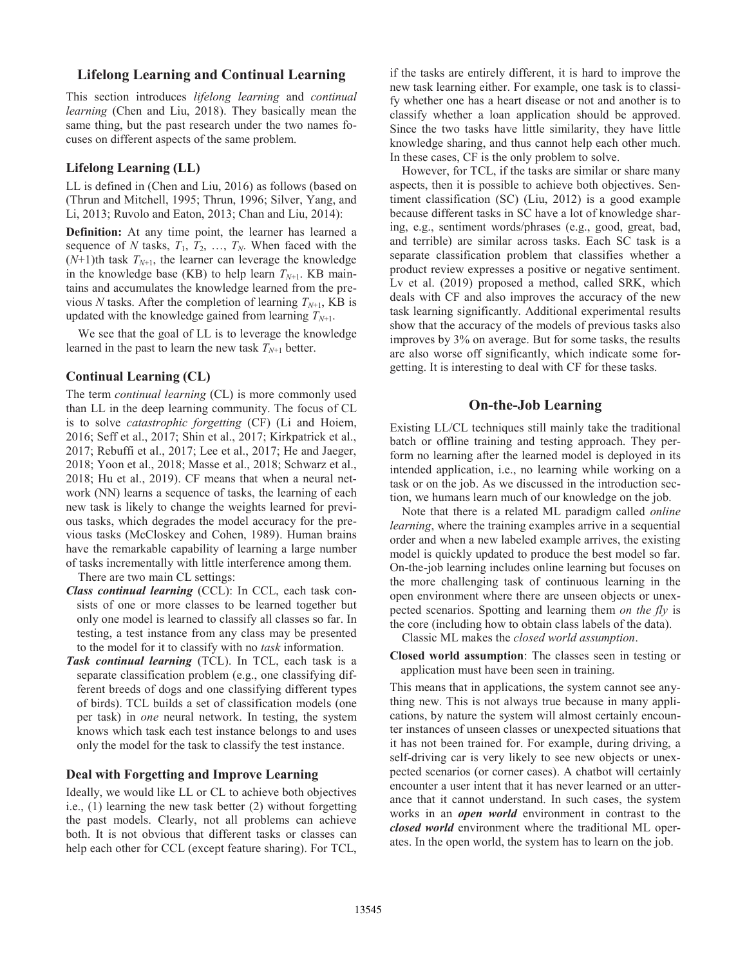## **Lifelong Learning and Continual Learning**

This section introduces *lifelong learning* and *continual learning* (Chen and Liu, 2018). They basically mean the same thing, but the past research under the two names focuses on different aspects of the same problem.

## **Lifelong Learning (LL)**

LL is defined in (Chen and Liu, 2016) as follows (based on (Thrun and Mitchell, 1995; Thrun, 1996; Silver, Yang, and Li, 2013; Ruvolo and Eaton, 2013; Chan and Liu, 2014):

**Definition:** At any time point, the learner has learned a sequence of *N* tasks,  $T_1$ ,  $T_2$ , ...,  $T_N$ . When faced with the  $(N+1)$ th task  $T_{N+1}$ , the learner can leverage the knowledge in the knowledge base (KB) to help learn  $T_{N+1}$ . KB maintains and accumulates the knowledge learned from the previous *N* tasks. After the completion of learning  $T_{N+1}$ , KB is updated with the knowledge gained from learning  $T_{N+1}$ .

 We see that the goal of LL is to leverage the knowledge learned in the past to learn the new task  $T_{N+1}$  better.

#### **Continual Learning (CL)**

The term *continual learning* (CL) is more commonly used than LL in the deep learning community. The focus of CL is to solve *catastrophic forgetting* (CF) (Li and Hoiem, 2016; Seff et al., 2017; Shin et al., 2017; Kirkpatrick et al., 2017; Rebuffi et al., 2017; Lee et al., 2017; He and Jaeger, 2018; Yoon et al., 2018; Masse et al., 2018; Schwarz et al., 2018; Hu et al., 2019). CF means that when a neural network (NN) learns a sequence of tasks, the learning of each new task is likely to change the weights learned for previous tasks, which degrades the model accuracy for the previous tasks (McCloskey and Cohen, 1989). Human brains have the remarkable capability of learning a large number of tasks incrementally with little interference among them.

There are two main CL settings:

- *Class continual learning* (CCL): In CCL, each task consists of one or more classes to be learned together but only one model is learned to classify all classes so far. In testing, a test instance from any class may be presented to the model for it to classify with no *task* information.
- *Task continual learning* (TCL). In TCL, each task is a separate classification problem (e.g., one classifying different breeds of dogs and one classifying different types of birds). TCL builds a set of classification models (one per task) in *one* neural network. In testing, the system knows which task each test instance belongs to and uses only the model for the task to classify the test instance.

## **Deal with Forgetting and Improve Learning**

Ideally, we would like LL or CL to achieve both objectives i.e., (1) learning the new task better (2) without forgetting the past models. Clearly, not all problems can achieve both. It is not obvious that different tasks or classes can help each other for CCL (except feature sharing). For TCL,

if the tasks are entirely different, it is hard to improve the new task learning either. For example, one task is to classify whether one has a heart disease or not and another is to classify whether a loan application should be approved. Since the two tasks have little similarity, they have little knowledge sharing, and thus cannot help each other much. In these cases, CF is the only problem to solve.

 However, for TCL, if the tasks are similar or share many aspects, then it is possible to achieve both objectives. Sentiment classification (SC) (Liu, 2012) is a good example because different tasks in SC have a lot of knowledge sharing, e.g., sentiment words/phrases (e.g., good, great, bad, and terrible) are similar across tasks. Each SC task is a separate classification problem that classifies whether a product review expresses a positive or negative sentiment. Lv et al. (2019) proposed a method, called SRK, which deals with CF and also improves the accuracy of the new task learning significantly. Additional experimental results show that the accuracy of the models of previous tasks also improves by 3% on average. But for some tasks, the results are also worse off significantly, which indicate some forgetting. It is interesting to deal with CF for these tasks.

## **On-the-Job Learning**

Existing LL/CL techniques still mainly take the traditional batch or offline training and testing approach. They perform no learning after the learned model is deployed in its intended application, i.e., no learning while working on a task or on the job. As we discussed in the introduction section, we humans learn much of our knowledge on the job.

 Note that there is a related ML paradigm called *online learning*, where the training examples arrive in a sequential order and when a new labeled example arrives, the existing model is quickly updated to produce the best model so far. On-the-job learning includes online learning but focuses on the more challenging task of continuous learning in the open environment where there are unseen objects or unexpected scenarios. Spotting and learning them *on the fly* is the core (including how to obtain class labels of the data).

Classic ML makes the *closed world assumption*.

**Closed world assumption**: The classes seen in testing or application must have been seen in training.

This means that in applications, the system cannot see anything new. This is not always true because in many applications, by nature the system will almost certainly encounter instances of unseen classes or unexpected situations that it has not been trained for. For example, during driving, a self-driving car is very likely to see new objects or unexpected scenarios (or corner cases). A chatbot will certainly encounter a user intent that it has never learned or an utterance that it cannot understand. In such cases, the system works in an *open world* environment in contrast to the *closed world* environment where the traditional ML operates. In the open world, the system has to learn on the job.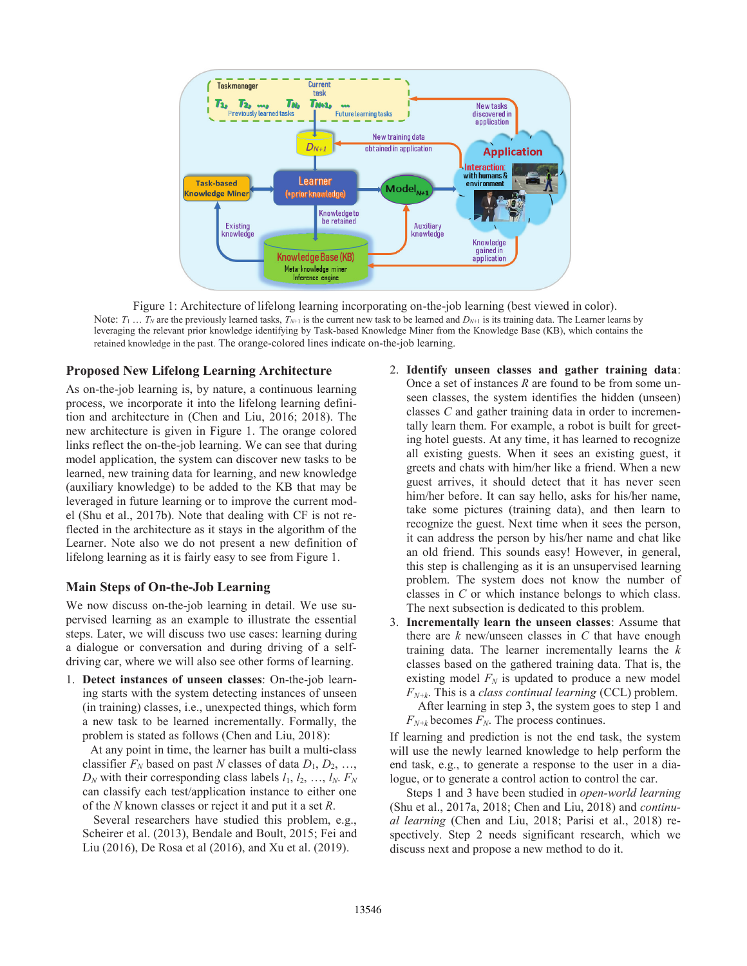

Figure 1: Architecture of lifelong learning incorporating on-the-job learning (best viewed in color). Note:  $T_1 \ldots T_N$  are the previously learned tasks,  $T_{N+1}$  is the current new task to be learned and  $D_{N+1}$  is its training data. The Learner learns by leveraging the relevant prior knowledge identifying by Task-based Knowledge Miner from the Knowledge Base (KB), which contains the retained knowledge in the past. The orange-colored lines indicate on-the-job learning.

## **Proposed New Lifelong Learning Architecture**

As on-the-job learning is, by nature, a continuous learning process, we incorporate it into the lifelong learning definition and architecture in (Chen and Liu, 2016; 2018). The new architecture is given in Figure 1. The orange colored links reflect the on-the-job learning. We can see that during model application, the system can discover new tasks to be learned, new training data for learning, and new knowledge (auxiliary knowledge) to be added to the KB that may be leveraged in future learning or to improve the current model (Shu et al., 2017b). Note that dealing with CF is not reflected in the architecture as it stays in the algorithm of the Learner. Note also we do not present a new definition of lifelong learning as it is fairly easy to see from Figure 1.

#### **Main Steps of On-the-Job Learning**

We now discuss on-the-job learning in detail. We use supervised learning as an example to illustrate the essential steps. Later, we will discuss two use cases: learning during a dialogue or conversation and during driving of a selfdriving car, where we will also see other forms of learning.

1. **Detect instances of unseen classes**: On-the-job learning starts with the system detecting instances of unseen (in training) classes, i.e., unexpected things, which form a new task to be learned incrementally. Formally, the problem is stated as follows (Chen and Liu, 2018):

At any point in time, the learner has built a multi-class classifier  $F_N$  based on past *N* classes of data  $D_1, D_2, \ldots$ ,  $D_N$  with their corresponding class labels  $l_1, l_2, ..., l_N$ .  $F_N$ can classify each test/application instance to either one of the *N* known classes or reject it and put it a set *R*.

Several researchers have studied this problem, e.g., Scheirer et al. (2013), Bendale and Boult, 2015; Fei and Liu (2016), De Rosa et al (2016), and Xu et al. (2019).

- 2. **Identify unseen classes and gather training data**: Once a set of instances *R* are found to be from some unseen classes, the system identifies the hidden (unseen) classes *C* and gather training data in order to incrementally learn them. For example, a robot is built for greeting hotel guests. At any time, it has learned to recognize all existing guests. When it sees an existing guest, it greets and chats with him/her like a friend. When a new guest arrives, it should detect that it has never seen him/her before. It can say hello, asks for his/her name, take some pictures (training data), and then learn to recognize the guest. Next time when it sees the person, it can address the person by his/her name and chat like an old friend. This sounds easy! However, in general, this step is challenging as it is an unsupervised learning problem. The system does not know the number of classes in *C* or which instance belongs to which class. The next subsection is dedicated to this problem.
- 3. **Incrementally learn the unseen classes**: Assume that there are *k* new/unseen classes in *C* that have enough training data. The learner incrementally learns the *k* classes based on the gathered training data. That is, the existing model  $F_N$  is updated to produce a new model *FN+k*. This is a *class continual learning* (CCL) problem.

After learning in step 3, the system goes to step 1 and  $F_{N+k}$  becomes  $F_N$ . The process continues.

If learning and prediction is not the end task, the system will use the newly learned knowledge to help perform the end task, e.g., to generate a response to the user in a dialogue, or to generate a control action to control the car.

 Steps 1 and 3 have been studied in *open-world learning* (Shu et al., 2017a, 2018; Chen and Liu, 2018) and *continual learning* (Chen and Liu, 2018; Parisi et al., 2018) respectively. Step 2 needs significant research, which we discuss next and propose a new method to do it.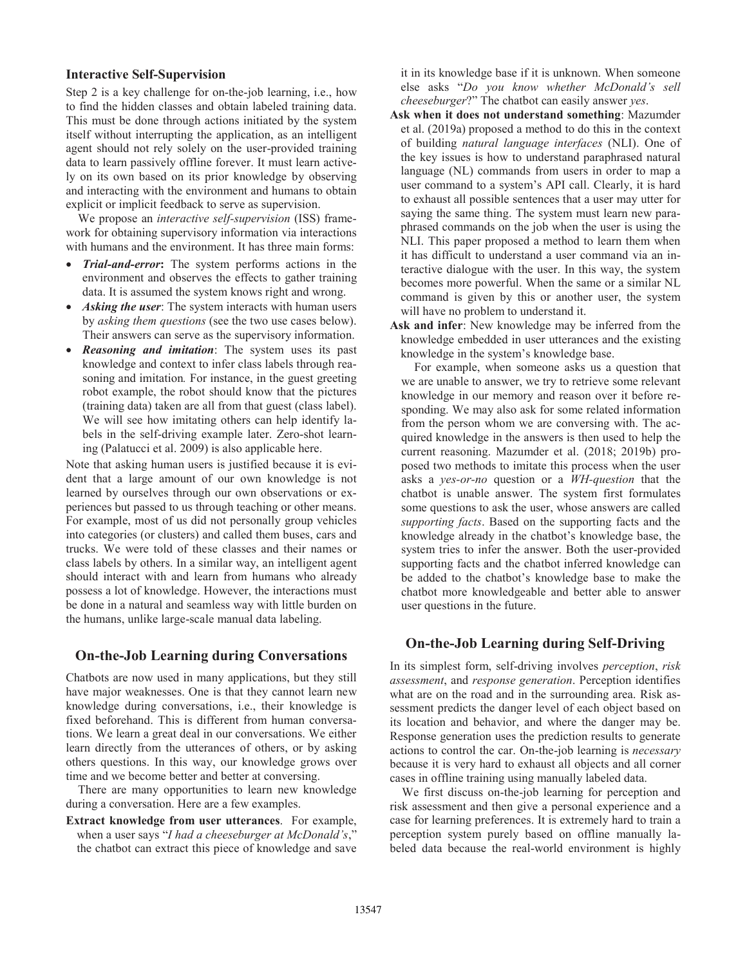## **Interactive Self-Supervision**

Step 2 is a key challenge for on-the-job learning, i.e., how to find the hidden classes and obtain labeled training data. This must be done through actions initiated by the system itself without interrupting the application, as an intelligent agent should not rely solely on the user-provided training data to learn passively offline forever. It must learn actively on its own based on its prior knowledge by observing and interacting with the environment and humans to obtain explicit or implicit feedback to serve as supervision.

 We propose an *interactive self-supervision* (ISS) framework for obtaining supervisory information via interactions with humans and the environment. It has three main forms:

- x *Trial-and-error***:** The system performs actions in the environment and observes the effects to gather training data. It is assumed the system knows right and wrong.
- Asking the user: The system interacts with human users by *asking them questions* (see the two use cases below). Their answers can serve as the supervisory information.
- *Reasoning and imitation*: The system uses its past knowledge and context to infer class labels through reasoning and imitation*.* For instance, in the guest greeting robot example, the robot should know that the pictures (training data) taken are all from that guest (class label). We will see how imitating others can help identify labels in the self-driving example later. Zero-shot learning (Palatucci et al. 2009) is also applicable here.

Note that asking human users is justified because it is evident that a large amount of our own knowledge is not learned by ourselves through our own observations or experiences but passed to us through teaching or other means. For example, most of us did not personally group vehicles into categories (or clusters) and called them buses, cars and trucks. We were told of these classes and their names or class labels by others. In a similar way, an intelligent agent should interact with and learn from humans who already possess a lot of knowledge. However, the interactions must be done in a natural and seamless way with little burden on the humans, unlike large-scale manual data labeling.

#### **On-the-Job Learning during Conversations**

Chatbots are now used in many applications, but they still have major weaknesses. One is that they cannot learn new knowledge during conversations, i.e., their knowledge is fixed beforehand. This is different from human conversations. We learn a great deal in our conversations. We either learn directly from the utterances of others, or by asking others questions. In this way, our knowledge grows over time and we become better and better at conversing.

 There are many opportunities to learn new knowledge during a conversation. Here are a few examples.

**Extract knowledge from user utterances**. For example, when a user says "*I had a cheeseburger at McDonald's*," the chatbot can extract this piece of knowledge and save it in its knowledge base if it is unknown. When someone else asks "*Do you know whether McDonald's sell cheeseburger*?" The chatbot can easily answer *yes*.

**Ask when it does not understand something**: Mazumder et al. (2019a) proposed a method to do this in the context of building *natural language interfaces* (NLI). One of the key issues is how to understand paraphrased natural language (NL) commands from users in order to map a user command to a system's API call. Clearly, it is hard to exhaust all possible sentences that a user may utter for saying the same thing. The system must learn new paraphrased commands on the job when the user is using the NLI. This paper proposed a method to learn them when it has difficult to understand a user command via an interactive dialogue with the user. In this way, the system becomes more powerful. When the same or a similar NL command is given by this or another user, the system will have no problem to understand it.

**Ask and infer**: New knowledge may be inferred from the knowledge embedded in user utterances and the existing knowledge in the system's knowledge base.

 For example, when someone asks us a question that we are unable to answer, we try to retrieve some relevant knowledge in our memory and reason over it before responding. We may also ask for some related information from the person whom we are conversing with. The acquired knowledge in the answers is then used to help the current reasoning. Mazumder et al. (2018; 2019b) proposed two methods to imitate this process when the user asks a *yes-or-no* question or a *WH-question* that the chatbot is unable answer. The system first formulates some questions to ask the user, whose answers are called *supporting facts*. Based on the supporting facts and the knowledge already in the chatbot's knowledge base, the system tries to infer the answer. Both the user-provided supporting facts and the chatbot inferred knowledge can be added to the chatbot's knowledge base to make the chatbot more knowledgeable and better able to answer user questions in the future.

## **On-the-Job Learning during Self-Driving**

In its simplest form, self-driving involves *perception*, *risk assessment*, and *response generation*. Perception identifies what are on the road and in the surrounding area. Risk assessment predicts the danger level of each object based on its location and behavior, and where the danger may be. Response generation uses the prediction results to generate actions to control the car. On-the-job learning is *necessary* because it is very hard to exhaust all objects and all corner cases in offline training using manually labeled data.

 We first discuss on-the-job learning for perception and risk assessment and then give a personal experience and a case for learning preferences. It is extremely hard to train a perception system purely based on offline manually labeled data because the real-world environment is highly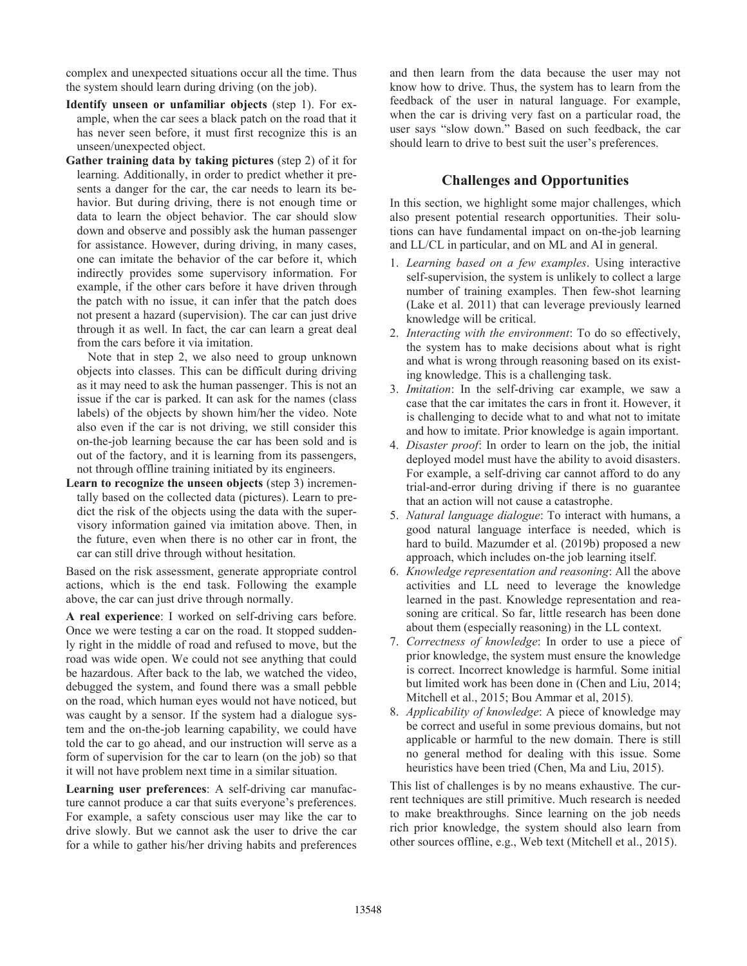complex and unexpected situations occur all the time. Thus the system should learn during driving (on the job).

- **Identify unseen or unfamiliar objects** (step 1). For example, when the car sees a black patch on the road that it has never seen before, it must first recognize this is an unseen/unexpected object.
- **Gather training data by taking pictures** (step 2) of it for learning. Additionally, in order to predict whether it presents a danger for the car, the car needs to learn its behavior. But during driving, there is not enough time or data to learn the object behavior. The car should slow down and observe and possibly ask the human passenger for assistance. However, during driving, in many cases, one can imitate the behavior of the car before it, which indirectly provides some supervisory information. For example, if the other cars before it have driven through the patch with no issue, it can infer that the patch does not present a hazard (supervision). The car can just drive through it as well. In fact, the car can learn a great deal from the cars before it via imitation.

 Note that in step 2, we also need to group unknown objects into classes. This can be difficult during driving as it may need to ask the human passenger. This is not an issue if the car is parked. It can ask for the names (class labels) of the objects by shown him/her the video. Note also even if the car is not driving, we still consider this on-the-job learning because the car has been sold and is out of the factory, and it is learning from its passengers, not through offline training initiated by its engineers.

**Learn to recognize the unseen objects** (step 3) incrementally based on the collected data (pictures). Learn to predict the risk of the objects using the data with the supervisory information gained via imitation above. Then, in the future, even when there is no other car in front, the car can still drive through without hesitation.

Based on the risk assessment, generate appropriate control actions, which is the end task. Following the example above, the car can just drive through normally.

**A real experience**: I worked on self-driving cars before. Once we were testing a car on the road. It stopped suddenly right in the middle of road and refused to move, but the road was wide open. We could not see anything that could be hazardous. After back to the lab, we watched the video, debugged the system, and found there was a small pebble on the road, which human eyes would not have noticed, but was caught by a sensor. If the system had a dialogue system and the on-the-job learning capability, we could have told the car to go ahead, and our instruction will serve as a form of supervision for the car to learn (on the job) so that it will not have problem next time in a similar situation.

**Learning user preferences**: A self-driving car manufacture cannot produce a car that suits everyone's preferences. For example, a safety conscious user may like the car to drive slowly. But we cannot ask the user to drive the car for a while to gather his/her driving habits and preferences and then learn from the data because the user may not know how to drive. Thus, the system has to learn from the feedback of the user in natural language. For example, when the car is driving very fast on a particular road, the user says "slow down." Based on such feedback, the car should learn to drive to best suit the user's preferences.

# **Challenges and Opportunities**

In this section, we highlight some major challenges, which also present potential research opportunities. Their solutions can have fundamental impact on on-the-job learning and LL/CL in particular, and on ML and AI in general.

- 1. *Learning based on a few examples*. Using interactive self-supervision, the system is unlikely to collect a large number of training examples. Then few-shot learning (Lake et al. 2011) that can leverage previously learned knowledge will be critical.
- 2. *Interacting with the environment*: To do so effectively, the system has to make decisions about what is right and what is wrong through reasoning based on its existing knowledge. This is a challenging task.
- 3. *Imitation*: In the self-driving car example, we saw a case that the car imitates the cars in front it. However, it is challenging to decide what to and what not to imitate and how to imitate. Prior knowledge is again important.
- 4. *Disaster proof*: In order to learn on the job, the initial deployed model must have the ability to avoid disasters. For example, a self-driving car cannot afford to do any trial-and-error during driving if there is no guarantee that an action will not cause a catastrophe.
- 5. *Natural language dialogue*: To interact with humans, a good natural language interface is needed, which is hard to build. Mazumder et al. (2019b) proposed a new approach, which includes on-the job learning itself.
- 6. *Knowledge representation and reasoning*: All the above activities and LL need to leverage the knowledge learned in the past. Knowledge representation and reasoning are critical. So far, little research has been done about them (especially reasoning) in the LL context.
- 7. *Correctness of knowledge*: In order to use a piece of prior knowledge, the system must ensure the knowledge is correct. Incorrect knowledge is harmful. Some initial but limited work has been done in (Chen and Liu, 2014; Mitchell et al., 2015; Bou Ammar et al, 2015).
- 8. *Applicability of knowledge*: A piece of knowledge may be correct and useful in some previous domains, but not applicable or harmful to the new domain. There is still no general method for dealing with this issue. Some heuristics have been tried (Chen, Ma and Liu, 2015).

This list of challenges is by no means exhaustive. The current techniques are still primitive. Much research is needed to make breakthroughs. Since learning on the job needs rich prior knowledge, the system should also learn from other sources offline, e.g., Web text (Mitchell et al., 2015).